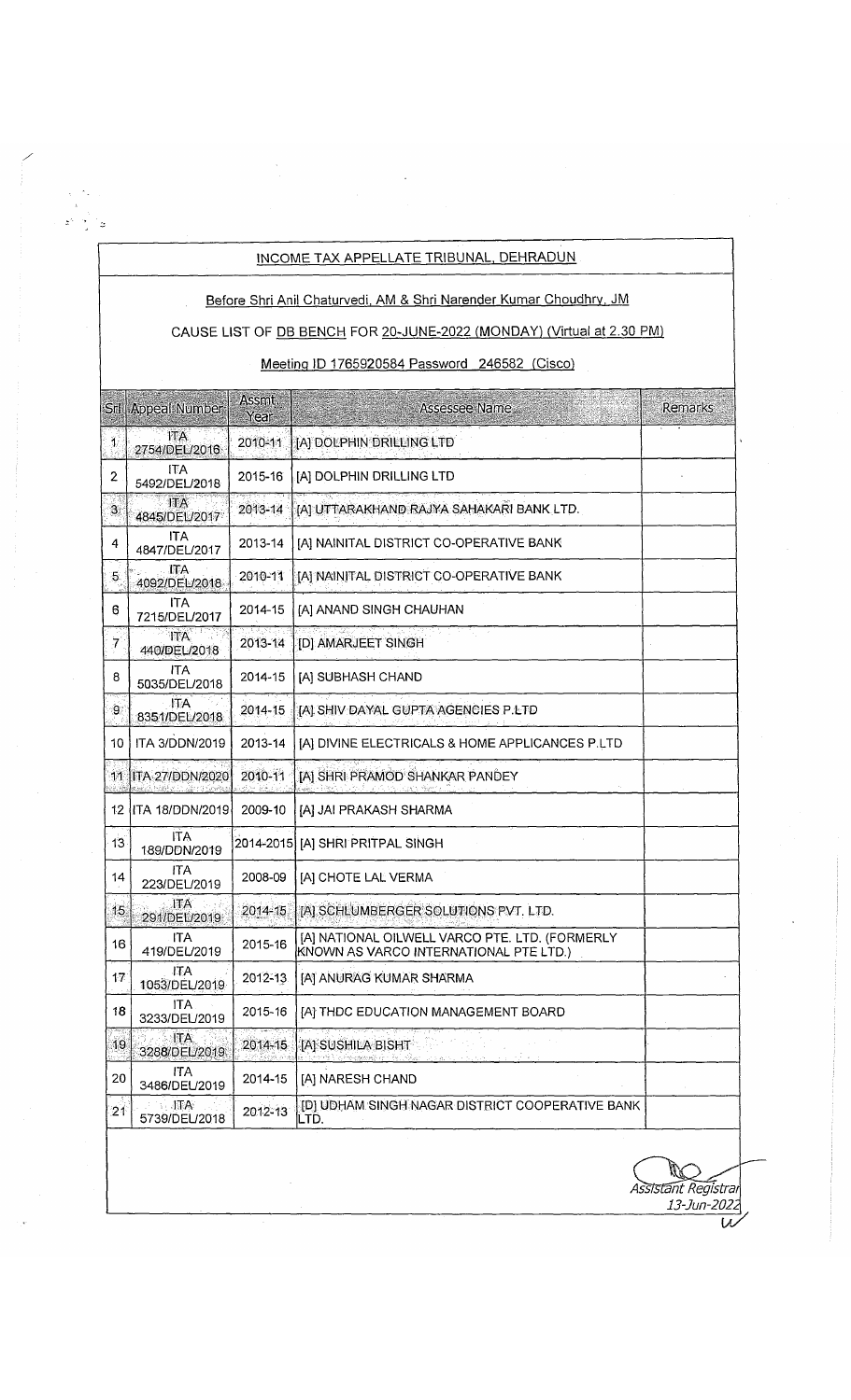## INCOME TAX APPELLATE TRIBUNAL. DEHRADUN

 $\begin{array}{cc} & \star & \uparrow \star \\ & \downarrow & \\ & \downarrow & \\ & & \downarrow \end{array}$  $\mathcal{S}^{\mathcal{N}}=\frac{1}{2}+\frac{1}{2}$ 

Before Shri Anil Chaturvedi. AM & Shri Narender Kumar Choudhrv. JM

## CAUSE LIST OF DB BENCH FOR 20-JUNE-2022 (MONDAY) (Virtual at 2.30 PM)

## Meetina ID 1765920584 Password 246582 (Cisco)

|                | <b>Srl   Appeal Number</b>                    | Assmt.<br>Year | Assessee Name                                                                            | Remarks |
|----------------|-----------------------------------------------|----------------|------------------------------------------------------------------------------------------|---------|
| $\mathbf{1}$   | IТA.<br>2754/DEL/2016                         | 2010-11        | [A] DOLPHIN DRILLING LTD                                                                 |         |
| $\overline{c}$ | <b>ITA</b><br>5492/DEL/2018                   | 2015-16        | [A] DOLPHIN DRILLING LTD                                                                 |         |
| $\Im$          | $\mathbb{I} \Lambda$<br>4845/DEL/2017         | 2013-14        | [A] UTTARAKHAND RAJYA SAHAKARI BANK LTD.                                                 |         |
| 4              | <b>ITA</b><br>4847/DEL/2017                   | 2013-14        | [A] NAINITAL DISTRICT CO-OPERATIVE BANK                                                  |         |
| 5.             | . ITA<br>4092/DEL/2018                        | 2010-11        | [A] NAINITAL DISTRICT CO-OPERATIVE BANK                                                  |         |
| 6              | <b>ITA</b><br>7215/DEL/2017                   | 2014-15        | [A] ANAND SINGH CHAUHAN                                                                  |         |
| 7              | <b>ITA</b><br>440/DEL/2018                    | 2013-14        | [D] AMARJEET SINGH                                                                       |         |
| 8              | ITA.<br>5035/DEL/2018                         | 2014-15        | [A] SUBHASH CHAND                                                                        |         |
| 9.             | .ITA<br>8351/DEL/2018                         | 2014-15        | IAI SHIV DAYAL GUPTA AGENCIES P.LTD                                                      |         |
| 10             | ITA 3/DDN/2019                                | 2013-14        | [A] DIVINE ELECTRICALS & HOME APPLICANCES P.LTD                                          |         |
|                | 11 JITA 27/DDN/2020                           | 2010-11        | [A] SHRI PRAMOD SHANKAR PANDEY<br>. A Shekar Semula                                      |         |
|                | 12   ITA 18/DDN/2019                          | 2009-10        | [A] JAI PRAKASH SHARMA                                                                   |         |
| 13             | <b>ITA</b><br>189/DDN/2019                    | 2014-2015      | [A] SHRI PRITPAL SINGH                                                                   |         |
| 14             | ITA<br>223/DEL/2019                           | 2008-09        | [A] CHOTE LAL VERMA                                                                      |         |
| 15             | <b>ITA</b><br>291/DEL/2019                    | 2014-15        | [A] SCHLUMBERGER SOLUTIONS PVT. LTD.                                                     |         |
| 16             | <b>ITA</b><br>419/DEL/2019                    | 2015-16        | [A] NATIONAL OILWELL VARCO PTE. LTD. (FORMERLY<br>KNOWN AS VARCO INTERNATIONAL PTE LTD.) |         |
| 17             | <b>ITA</b><br>1053/DEL/2019                   | 2012-13        | [A] ANURAG KUMAR SHARMA                                                                  |         |
| 18             | <b>ITA</b><br>3233/DEL/2019                   | 2015-16        | [A] THDC EDUCATION MANAGEMENT BOARD                                                      |         |
| 19             | ITA.<br>3288/DEL/2019                         | 2014-15        | [A] SUSHILA BISHT                                                                        |         |
| 20             | ITA.<br>3486/DEL/2019                         | 2014-15        | [A] NARESH CHAND                                                                         |         |
| 21             | $\mathbf{A}$ in $\mathbf{A}$<br>5739/DEL/2018 | 2012-13        | [D] UDHAM SINGH NAGAR DISTRICT COOPERATIVE BANK<br>LTD.                                  |         |
|                |                                               |                |                                                                                          |         |

*Assistant Registrar 13-Jun-2022*

 $\overline{\mathcal{W}}$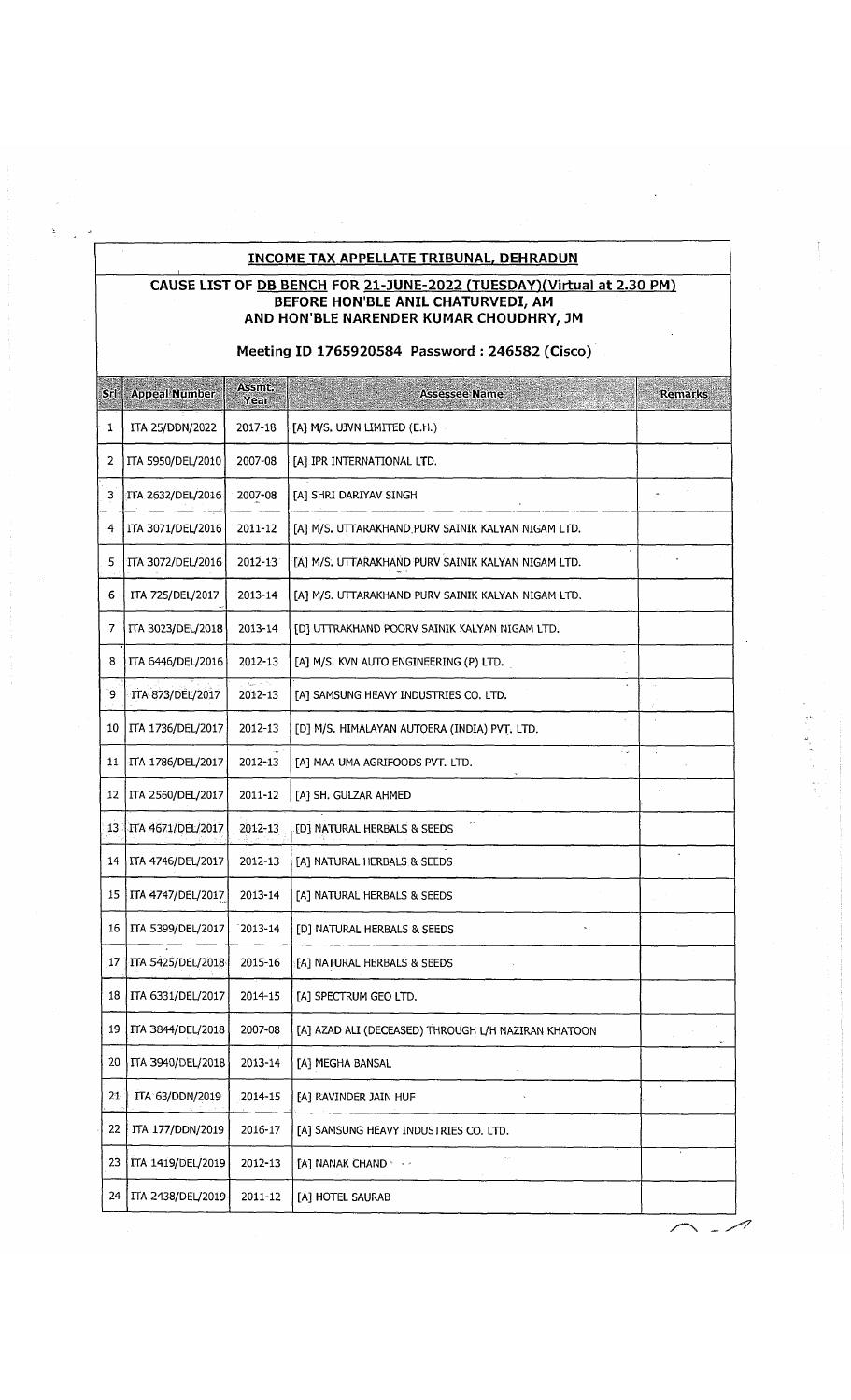## **INCOME TAX APPELLATE TRIBUNAL. DEHRADUN**

#### **CAUSE LIST OF DB BENCH FOR 21-JUNE-2022 (TUESDAYIfVirtual at 2.30 PM1 BEFORE HON'BLE ANIL CHATURVEDI, AM AND HON'BLE NARENDER KUMAR CHOUDHRY, JM**

## **Meeting ID 1765920584 Password : 246582 (Cisco)**

| Srl             | <b>Appeal Number</b>     | Assmt.<br>Year | <b>Assessee Name</b>                                | <b>Remarks</b> |
|-----------------|--------------------------|----------------|-----------------------------------------------------|----------------|
| 1               | <b>ITA 25/DDN/2022</b>   | 2017-18        | [A] M/S. UJVN LIMITED (E.H.)                        |                |
| 2               | ITA 5950/DEL/2010        | 2007-08        | [A] IPR INTERNATIONAL LTD.                          |                |
| 3               | TTA 2632/DEL/2016        | 2007-08        | [A] SHRI DARIYAV SINGH                              |                |
| 4               | ITA 3071/DEL/2016        | 2011-12        | [A] M/S. UTTARAKHAND PURV SAINIK KALYAN NIGAM LTD.  |                |
| 5               | ITA 3072/DEL/2016        | $2012 - 13$    | [A] M/S. UTTARAKHAND PURV SAINIK KALYAN NIGAM LTD.  |                |
| 6               | ITA 725/DEL/2017         | 2013-14        | [A] M/S. UTTARAKHAND PURV SAINIK KALYAN NIGAM LTD.  |                |
| 7               | <b>ITA 3023/DEL/2018</b> | 2013-14        | [D] UTTRAKHAND POORV SAINIK KALYAN NIGAM LTD.       |                |
| 8               | ITA 6446/DEL/2016        | 2012-13        | [A] M/S. KVN AUTO ENGINEERING (P) LTD.              |                |
| و٬              | TTA 873/DEL/2017         | 2012-13        | [A] SAMSUNG HEAVY INDUSTRIES CO. LTD.               |                |
| 10              | ITA 1736/DEL/2017        | 2012-13        | [D] M/S. HIMALAYAN AUTOERA (INDIA) PVT, LTD.        |                |
| 11              | ITA 1786/DEL/2017        | 2012-13        | [A] MAA UMA AGRIFOODS PVT. LTD.                     |                |
| 12              | ITA 2560/DEL/2017        | 2011-12        | [A] SH. GULZAR AHMED                                |                |
| 13:             | ITA 4671/DEL/2017        | 2012-13        | [D] NATURAL HERBALS & SEEDS                         |                |
| 14              | ITA 4746/DEL/2017        | 2012-13        | [A] NATURAL HERBALS & SEEDS                         |                |
| 15              | ITA 4747/DEL/2017        | 2013-14        | [A] NATURAL HERBALS & SEEDS                         |                |
| 16              | ITA 5399/DEL/2017        | 2013-14        | [D] NATURAL HERBALS & SEEDS                         |                |
| 17 <sup>1</sup> | ITA 5425/DEL/2018        | 2015-16        | [A] NATURAL HERBALS & SEEDS                         |                |
|                 | 18   ITA 6331/DEL/2017   | 2014-15        | [A] SPECTRUM GEO LTD.                               |                |
| 19              | ITA 3844/DEL/2018        | 2007-08        | [A] AZAD ALI (DECEASED) THROUGH L/H NAZIRAN KHATOON |                |
| 20              | <b>ITA 3940/DEL/2018</b> | 2013-14        | [A] MEGHA BANSAL                                    |                |
| 21              | ITA 63/DDN/2019          | 2014-15        | [A] RAVINDER JAIN HUF                               | $\star$        |
| 22              | ITA 177/DDN/2019         | 2016-17        | [A] SAMSUNG HEAVY INDUSTRIES CO. LTD.               |                |
| 23              | ITA 1419/DEL/2019        | 2012-13        | [A] NANAK CHAND * + +                               |                |
| 24              | ITA 2438/DEL/2019        | 2011-12        | [A] HOTEL SAURAB                                    |                |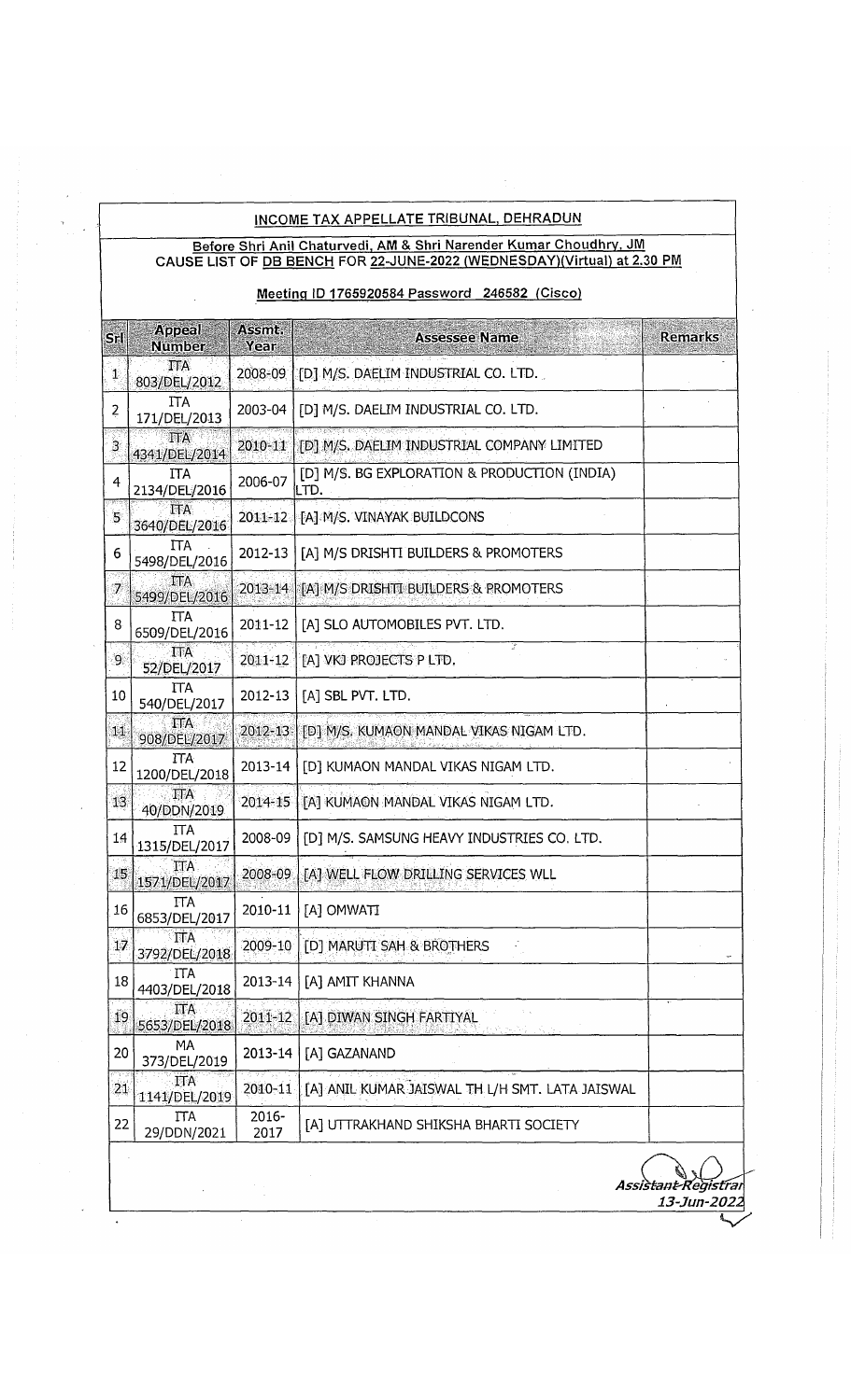## INCOME TAX APPELLATE TRIBUNAL, DEHRADUN

#### Before Shri Anil Chaturvedi. AM & Shri Narender Kumar Choudhrv. JM CAUSE LIST OF <u>DB BENCH</u> FOR <u>22-JUNE-2022 (WEDNESDAY)(Virtual) at 2.30 PM</u>

## Meetinq ID 1765920584 Password 246582 (Cisco)

| Srll            | Appeal<br><b>Number</b>       | Assmt.<br>Year           | <b>Assessee Name</b>                                  | <b>Remarks</b>                     |
|-----------------|-------------------------------|--------------------------|-------------------------------------------------------|------------------------------------|
| $\mathbf{\Psi}$ | <b>ITA</b><br>803/DEL/2012    |                          | 2008-09 [ [D] M/S. DAELIM INDUSTRIAL CO. LTD.         |                                    |
| $\overline{2}$  | <b>ITA</b><br>171/DEL/2013    | 2003-04                  | [D] M/S. DAELIM INDUSTRIAL CO. LTD.                   |                                    |
| $\overline{3}$  | <b>ITA</b><br>4341/DEL/2014   | 2010-11                  | [D] M/S. DAELIM INDUSTRIAL COMPANY LIMITED            |                                    |
| 4               | ITA.<br>2134/DEL/2016         | 2006-07                  | [D] M/S. BG EXPLORATION & PRODUCTION (INDIA)<br>ILTD. |                                    |
| 5               | <b>ITA</b><br>3640/DEL/2016   | $2011 - 12$              | FA] M/S. VINAYAK BUILDCONS                            |                                    |
| 6               | <b>ITA</b><br>5498/DEL/2016   | 2012-13                  | [A] M/S DRISHTI BUILDERS & PROMOTERS                  |                                    |
| 7               | $\text{ITA}$<br>5499/DEL/2016 | $2013 - 14$              | [A] M/S DRISHTI BUILDERS & PROMOTERS                  |                                    |
| 8               | <b>ITA</b><br>6509/DEL/2016   | 2011-12                  | [A] SLO AUTOMOBILES PVT. LTD.                         |                                    |
| $9^{\circ}$     | <b>ITA</b><br>52/DEL/2017     | 2011-12                  | [A] VKJ PROJECTS P LTD.                               |                                    |
| 10              | <b>ITA</b><br>540/DEL/2017    | 2012-13                  | [A] SBL PVT. LTD.                                     |                                    |
| 11              | ΠA<br>908/DEL/2017            | 2012-13                  | [D] M/S. KUMAON MANDAL VIKAS NIGAM LTD.               |                                    |
| 12              | ΠA<br>1200/DEL/2018           | $2013 - 14$              | [D] KUMAON MANDAL VIKAS NIGAM LTD.                    |                                    |
| 13              | $\prod A$<br>40/DDN/2019      | 2014-15                  | TAT KUMAON MANDAL VIKAS NIGAM LTD.                    |                                    |
| 14              | <b>ITA</b><br>1315/DEL/2017   | 2008-09                  | [D] M/S. SAMSUNG HEAVY INDUSTRIES CO. LTD.            |                                    |
| 15              | <b>ITA</b><br>1571/DEL/2017   | 2008-09                  | [A] WELL FLOW DRILLING SERVICES WLL                   |                                    |
| 16              | <b>ITA</b><br>6853/DEL/2017   | 2010-11                  | [A] OMWATI                                            |                                    |
| 17              | ITA<br>3792/DEL/2018          | 22 Teacher St<br>2009-10 | [D] MARUTI SAH & BROTHERS                             |                                    |
| 18              | ITA.<br>4403/DEL/2018         | 2013-14                  | [A] AMIT KHANNA                                       |                                    |
| 19              | <b>ITA</b><br>5653/DEL/2018   | $2011 - 12$              | [A] DIWAN SINGH FARTIYAL                              |                                    |
| 20              | MA<br>373/DEL/2019            | 2013-14                  | [A] GAZANAND                                          |                                    |
| $21\,$          | <b>ITA</b><br>1141/DEL/2019   | 2010-11                  | [A] ANIL KUMAR JAISWAL TH L/H SMT. LATA JAISWAL       |                                    |
| 22              | <b>ITA</b><br>29/DDN/2021     | 2016-<br>2017            | [A] UTTRAKHAND SHIKSHA BHARTI SOCIETY                 |                                    |
|                 |                               |                          |                                                       | Assistant Registran<br>13-Jun-2022 |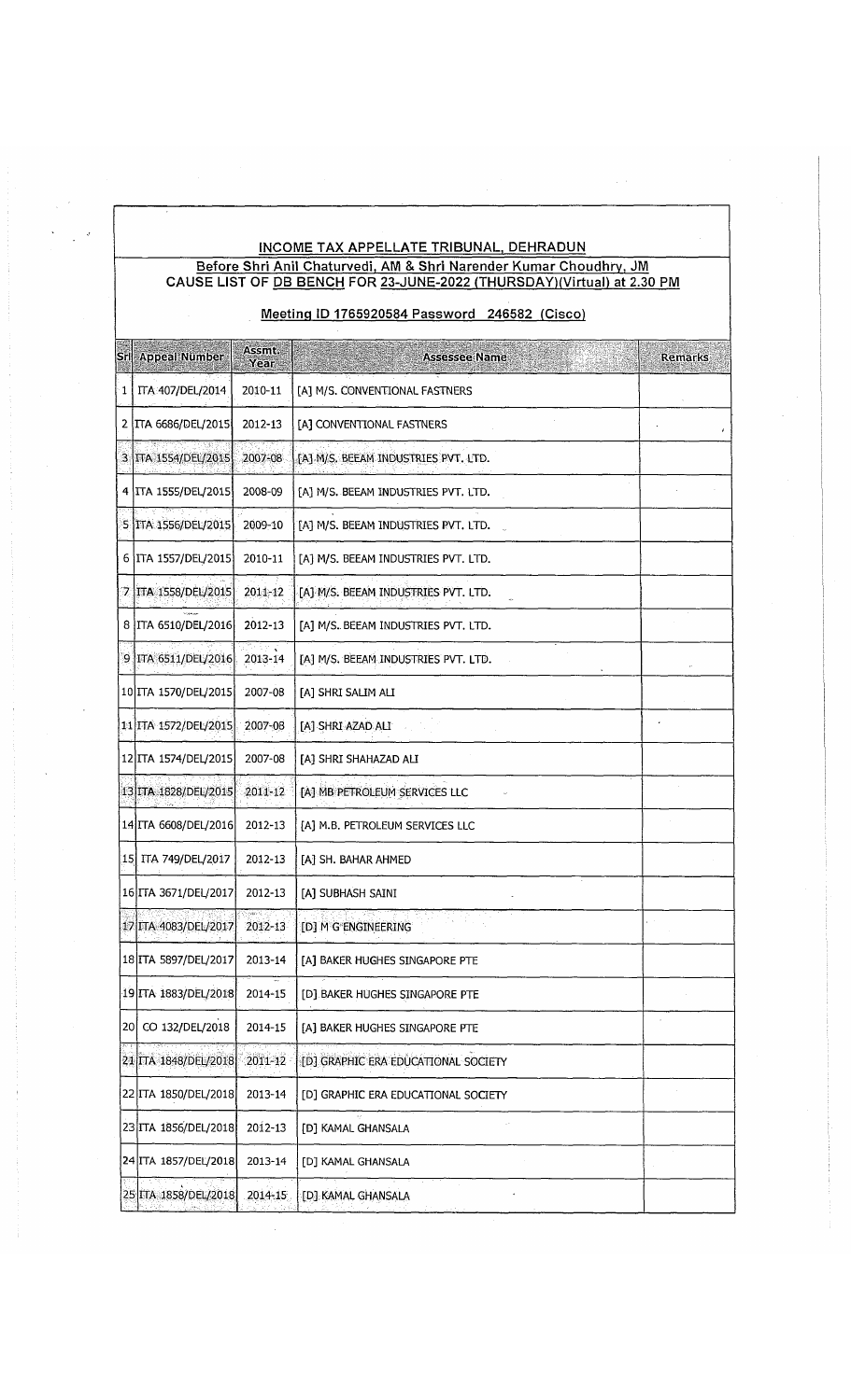#### INCOME TAX APPELLATE TRIBUNAL. DEHRADUN Before Shri Anil Chaturvedi, AM & Shri Narender Kumar Choudhrv, JM CAUSE LIST OF <u>DB BENCH</u> FOR <u>23-JUNE-2022 (THURSDAY)(Virtual) at 2.30 PM</u>

## Meetinq ID 1765920584 Password 246582 (Cisco)

|                | Srl Appeal Number            | Assmt.<br>Year | <b>Assessee Name</b><br>Remarks     |
|----------------|------------------------------|----------------|-------------------------------------|
| 1 <sup>1</sup> | ITA 407/DEL/2014             | 2010-11        | [A] M/S. CONVENTIONAL FASTNERS      |
|                | 2   ITA 6686/DEL/2015        | 2012-13        | [A] CONVENTIONAL FASTNERS           |
|                | 3 TTA 1554/DEL/2015          | 2007-08        | [A] M/S. BEEAM INDUSTRIES PVT. LTD. |
|                | 4 ITA 1555/DEL/2015          | 2008-09        | [A] M/S. BEEAM INDUSTRIES PVT. LTD. |
|                | 5 ITA 1556/DEL/2015          | 2009-10        | [A] M/S. BEEAM INDUSTRIES PVT. LTD. |
|                | 6   ITA 1557/DEL/2015        | 2010-11        | [A] M/S. BEEAM INDUSTRIES PVT. LTD. |
|                | 7 TA 1558/DEL/2015           | 2011-12        | [A] M/S. BEEAM INDUSTRIES PVT. LTD. |
|                | 8   ITA 6510/DEL/2016        | 2012-13        | [A] M/S. BEEAM INDUSTRIES PVT. LTD. |
|                | 9 ITA 6511/DEL/2016          | 2013-14        | [A] M/S. BEEAM INDUSTRIES PVT. LTD. |
|                | 10 ITA 1570/DEL/2015         | 2007-08        | [A] SHRI SALIM ALI                  |
|                | 11 ITA 1572/DEL/2015         | 2007-08        | [A] SHRI AZAD ALI                   |
|                | 12 ITA 1574/DEL/2015         | 2007-08        | [A] SHRI SHAHAZAD ALI               |
|                | 13 ITA 1828/DEL/2015         | 2011-12        | [A] MB PETROLEUM SERVICES LLC       |
|                | 14 ITA 6608/DEL/2016         | 2012-13        | [A] M.B. PETROLEUM SERVICES LLC     |
|                | 15 ITA 749/DEL/2017          | 2012-13        | [A] SH. BAHAR AHMED                 |
|                | 16 ITA 3671/DEL/2017         | 2012-13        | [A] SUBHASH SAINI                   |
|                | 17 ITA 4083/DEL/2017         | 2012-13        | [D] M G ENGINEERING                 |
|                | 18 ITA 5897/DEL/2017 2013-14 |                | [A] BAKER HUGHES SINGAPORE PTE      |
|                | 19 ITA 1883/DEL/2018         | 2014-15        | [D] BAKER HUGHES SINGAPORE PTE      |
|                | 20 CO 132/DEL/2018           | 2014-15        | [A] BAKER HUGHES SINGAPORE PTE      |
|                | 21 ITA 1848/DEL/2018         | 2011-12        | [D] GRAPHIC ERA EDUCATIONAL SOCIETY |
|                | 22 ITA 1850/DEL/2018         | 2013-14        | [D] GRAPHIC ERA EDUCATIONAL SOCIETY |
|                | 23 ITA 1856/DEL/2018         | 2012-13        | [D] KAMAL GHANSALA                  |
|                | 24 ITA 1857/DEL/2018         | 2013-14        | [D] KAMAL GHANSALA                  |
|                | 25 ITA 1858/DEL/2018         | 2014-15        | [D] KAMAL GHANSALA                  |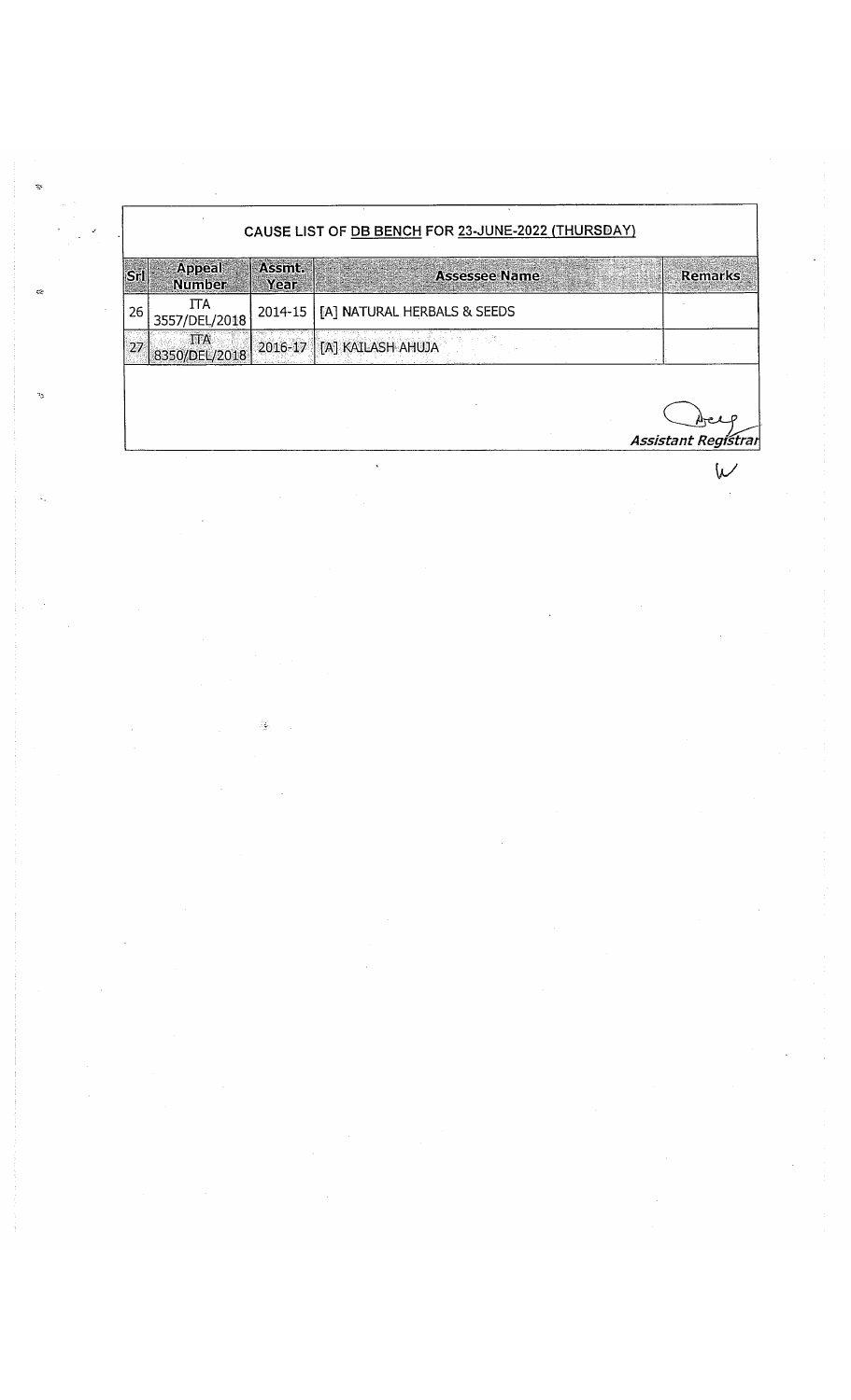# CAUSE LIST OF DB BENCH FOR 23-JUNE-2022 (THURSDAY)

|    | <b>Appeal</b><br><b>Number</b> | Assmt.<br>Year | <b>Remarks</b><br><b>Assessee Name</b> |
|----|--------------------------------|----------------|----------------------------------------|
| 26 | 3557/DEL/2018                  |                | 2014-15   [A] NATURAL HERBALS & SEEDS  |
|    | <b>TTA</b><br>8350/DEL/2018    |                | ' 2016-17   [A] KAILASH AHUJA          |

 $\ddot{\phantom{a}}$ 

*Assistant Registrar*

W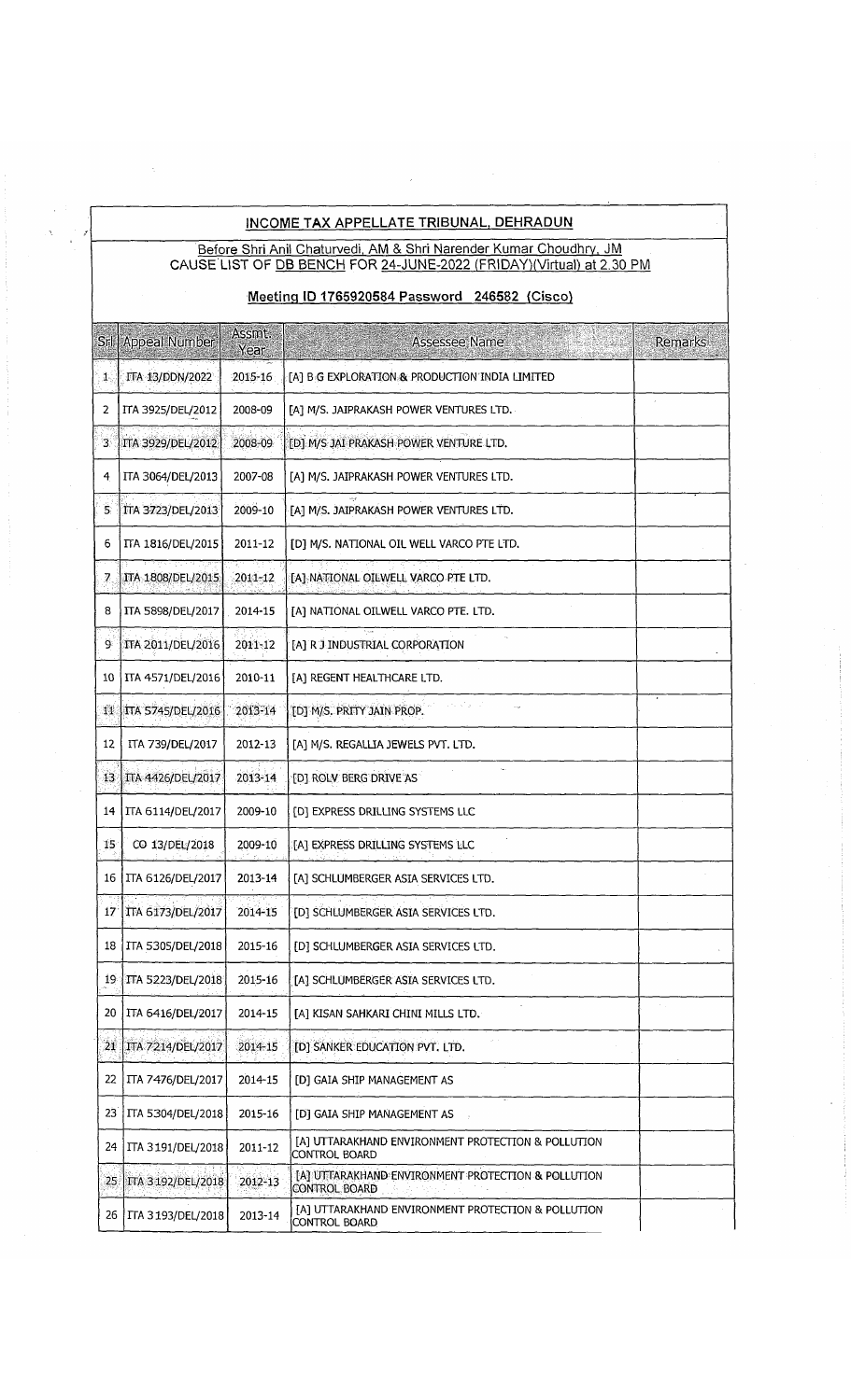#### INCOME TAX APPELLATE TRIBUNAL, DEHRADUN

Before Shri Anil Chaturvedi, AM & Shri Narender Kumar Choudhry, JM CAUSE LIST OF <u>DB BENCH</u> FOR <u>24-JUNE-2022 (FRIDAY)(Virtual) at 2.30 PM</u>

Meetinq ID 1765920584 Password 246582 (Cisco)

|      | Srl   Appeal Number                 | Assmt.<br>Year | Assessee Name                                                       | Remarks |
|------|-------------------------------------|----------------|---------------------------------------------------------------------|---------|
| 1,   | ITA 13/DDN/2022                     | 2015-16        | [A] B G EXPLORATION & PRODUCTION INDIA LIMITED                      |         |
| 2    | ITA 3925/DEL/2012                   | 2008-09        | [A] M/S. JAIPRAKASH POWER VENTURES LTD.                             |         |
| 3    | ITA 3929/DEL/2012                   | 2008-09        | [D] M/S JAI PRAKASH POWER VENTURE LTD.                              |         |
| 4    | ITA 3064/DEL/2013                   | 2007-08        | [A] M/S. JAIPRAKASH POWER VENTURES LTD.                             |         |
| 5,   | ITA 3723/DEL/2013                   | 2009-10        | [A] M/S. JAIPRAKASH POWER VENTURES LTD.                             |         |
| 6    | ITA 1816/DEL/2015                   | 2011-12        | [D] M/S. NATIONAL OIL WELL VARCO PTE LTD.                           |         |
| 7    | ਸਲਾਲ ਵਿਸ਼ਵ ਮੌਤ<br>ITA 1808/DEL/2015 | 2011-12        | [A] NATIONAL OILWELL VARCO PTE LTD.                                 |         |
| 8    | ITA 5898/DEL/2017                   | 2014-15        | [A] NATIONAL OILWELL VARCO PTE. LTD.                                |         |
| 9.   | <b>ITA 2011/DEL/2016</b>            | 2011-12        | [A] R J INDUSTRIAL CORPORATION                                      |         |
| 10   | ITA 4571/DEL/2016                   | 2010-11        | [A] REGENT HEALTHCARE LTD.                                          |         |
| 11   | <b>ITA 5745/DEL/2016</b>            | 2013-14        | [D] M/S. PRITY JAIN PROP.                                           |         |
| 12   | ITA 739/DEL/2017                    | 2012-13        | [A] M/S. REGALLIA JEWELS PVT. LTD.                                  |         |
| 13.  | TTA 4426/DEL/2017                   | 2013-14        | [D] ROLV BERG DRIVE AS                                              |         |
| 14 I | <b>ITA 6114/DEL/2017</b>            | 2009-10        | [D] EXPRESS DRILLING SYSTEMS LLC                                    |         |
| 15   | CO 13/DEL/2018                      | 2009-10        | [A] EXPRESS DRILLING SYSTEMS LLC                                    |         |
| 16   | TTA 6126/DEL/2017                   | 2013-14        | [A] SCHLUMBERGER ASIA SERVICES LTD.                                 |         |
|      | 17   ITA 6173/DEL/2017              | 2014-15        | [D] SCHLUMBERGER ASIA SERVICES LTD.                                 |         |
|      | 18   ITA 5305/DEL/2018              | 2015-16        | [D] SCHLUMBERGER ASIA SERVICES LTD                                  |         |
|      | 19 TTA 5223/DEL/2018                | 2015-16        | [A] SCHLUMBERGER ASIA SERVICES LTD.                                 |         |
| 20   | TTA 6416/DEL/2017                   | 2014-15        | [A] KISAN SAHKARI CHINI MILLS LTD.                                  |         |
|      | 21 TTA 7214/DEL/2017                | 2014-15        | [D] SANKER EDUCATION PVT. LTD.                                      |         |
| 22   | <b>ITA 7476/DEL/2017</b>            | 2014-15        | [D] GAIA SHIP MANAGEMENT AS                                         |         |
| 23   | ITA 5304/DEL/2018                   | 2015-16        | [D] GAIA SHIP MANAGEMENT AS                                         |         |
| 24   | ITA 3191/DEL/2018                   | 2011-12        | [A] UTTARAKHAND ENVIRONMENT PROTECTION & POLLUTION<br>CONTROL BOARD |         |
| 25   | TTA 3192/DEL/2018                   | 2012-13        | [A] UTTARAKHAND ENVIRONMENT PROTECTION & POLLUTION<br>CONTROL BOARD |         |
|      | 26   ITA 3193/DEL/2018              | 2013-14        | [A] UTTARAKHAND ENVIRONMENT PROTECTION & POLLUTION<br>CONTROL BOARD |         |